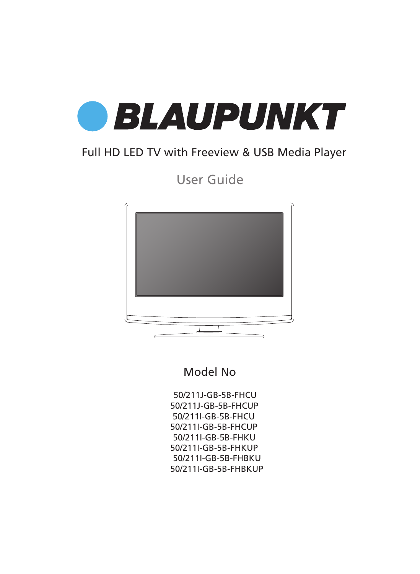

### Full HD LED TV with Freeview & USB Media Player

User Guide



### Model No

50/211J-GB-5B-FHCU 50/211J-GB-5B-FHCUP 50/211I-GB-5B-FHCU 50/211I-GB-5B-FHCUP 50/211I-GB-5B-FHKU 50/211I-GB-5B-FHKUP 50/211I-GB-5B-FHBKU 50/211I-GB-5B-FHBKUP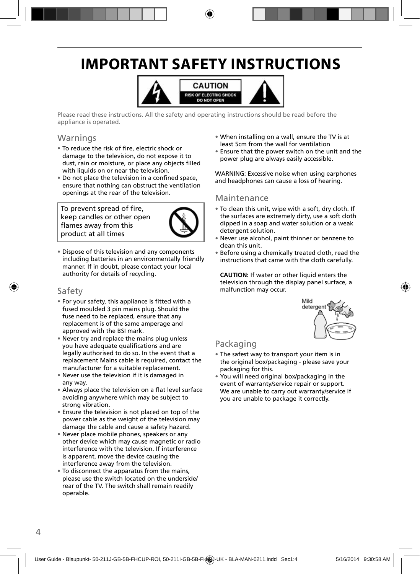## **IMPORTANT SAFETY INSTRUCTIONS**



Please read these instructions. All the safety and operating instructions should be read before the appliance is operated.

### Warnings

- To reduce the risk of fire, electric shock or damage to the television, do not expose it to dust, rain or moisture, or place any objects filled with liquids on or near the television.
- Do not place the television in a confined space, ensure that nothing can obstruct the ventilation openings at the rear of the television.

To prevent spread of fire, keep candles or other open flames away from this product at all times



• Dispose of this television and any components including batteries in an environmentally friendly manner. If in doubt, please contact your local authority for details of recycling.

### Safety

- For your safety, this appliance is fitted with a fused moulded 3 pin mains plug. Should the fuse need to be replaced, ensure that any replacement is of the same amperage and approved with the BSI mark.
- Never try and replace the mains plug unless you have adequate qualifications and are legally authorised to do so. In the event that a replacement Mains cable is required, contact the manufacturer for a suitable replacement.
- Never use the television if it is damaged in any way.
- Always place the television on a flat level surface avoiding anywhere which may be subject to strong vibration.
- Ensure the television is not placed on top of the power cable as the weight of the television may damage the cable and cause a safety hazard.
- Never place mobile phones, speakers or any other device which may cause magnetic or radio interference with the television. If interference is apparent, move the device causing the interference away from the television.
- To disconnect the apparatus from the mains, please use the switch located on the underside/ rear of the TV. The switch shall remain readily operable.
- When installing on a wall, ensure the TV is at least 5cm from the wall for ventilation
- Ensure that the power switch on the unit and the power plug are always easily accessible.

WARNING: Excessive noise when using earphones and headphones can cause a loss of hearing.

### Maintenance

- To clean this unit, wipe with a soft, dry cloth. If the surfaces are extremely dirty, use a soft cloth dipped in a soap and water solution or a weak detergent solution.
- Never use alcohol, paint thinner or benzene to clean this unit.
- Before using a chemically treated cloth, read the instructions that came with the cloth carefully.

**CAUTION:** If water or other liquid enters the television through the display panel surface, a malfunction may occur.



### Packaging

- The safest way to transport your item is in the original box/packaging - please save your packaging for this.
- You will need original box/packaging in the event of warranty/service repair or support. We are unable to carry out warranty/service if you are unable to package it correctly.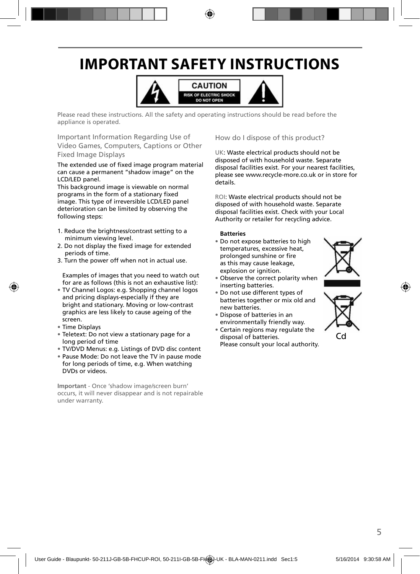## **IMPORTANT SAFETY INSTRUCTIONS**



Please read these instructions. All the safety and operating instructions should be read before the appliance is operated.

Important Information Regarding Use of Video Games, Computers, Captions or Other Fixed Image Displays

The extended use of fixed image program material can cause a permanent "shadow image" on the LCD/LED panel.

This background image is viewable on normal programs in the form of a stationary fixed image. This type of irreversible LCD/LED panel deterioration can be limited by observing the following steps:

- 1. Reduce the brightness/contrast setting to a minimum viewing level.
- 2. Do not display the fixed image for extended periods of time.
- 3. Turn the power off when not in actual use.

Examples of images that you need to watch out for are as follows (this is not an exhaustive list):

- TV Channel Logos: e.g. Shopping channel logos and pricing displays-especially if they are bright and stationary. Moving or low-contrast graphics are less likely to cause ageing of the screen.
- Time Displays
- Teletext: Do not view a stationary page for a long period of time
- TV/DVD Menus: e.g. Listings of DVD disc content
- Pause Mode: Do not leave the TV in pause mode for long periods of time, e.g. When watching DVDs or videos.

**Important** - Once 'shadow image/screen burn' occurs, it will never disappear and is not repairable under warranty.

How do I dispose of this product?

UK: Waste electrical products should not be disposed of with household waste. Separate disposal facilities exist. For your nearest facilities, please see www.recycle-more.co.uk or in store for details.

ROI: Waste electrical products should not be disposed of with household waste. Separate disposal facilities exist. Check with your Local Authority or retailer for recycling advice.

#### **Batteries**

• Do not expose batteries to high temperatures, excessive heat, prolonged sunshine or fire as this may cause leakage, explosion or ignition.



- Observe the correct polarity when inserting batteries.
- Do not use different types of batteries together or mix old and new batteries.
- Dispose of batteries in an environmentally friendly way.
- Certain regions may regulate the disposal of batteries. Please consult your local authority.



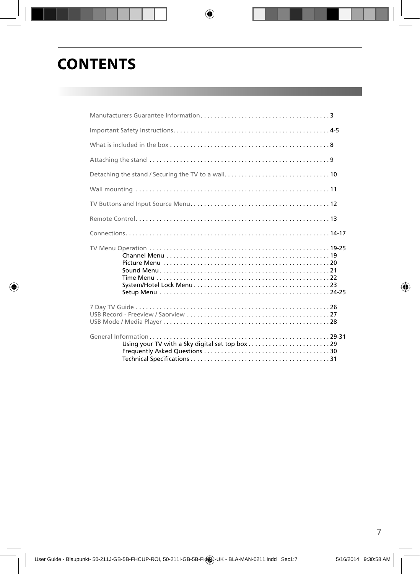## **CONTENTS**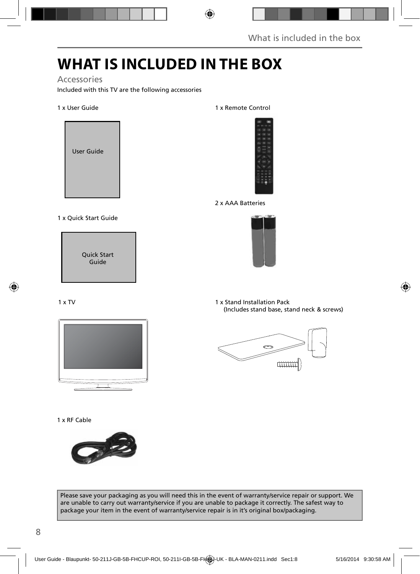## **WHAT IS INCLUDED IN THE BOX**

### Accessories

Included with this TV are the following accessories

#### 1 x User Guide



#### 1 x Quick Start Guide

Quick Start Guide

#### 1 x TV



#### 1 x RF Cable



#### Please save your packaging as you will need this in the event of warranty/service repair or support. We are unable to carry out warranty/service if you are unable to package it correctly. The safest way to package your item in the event of warranty/service repair is in it's original box/packaging.

#### 1 x Remote Control



#### 2 x AAA Batteries



1 x Stand Installation Pack (Includes stand base, stand neck & screws)

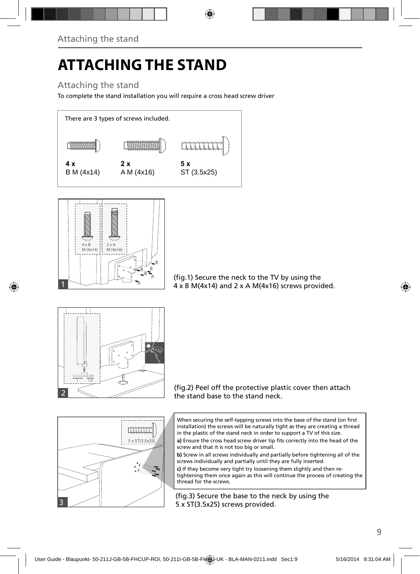# **ATTACHING THE STAND**

### Attaching the stand

To complete the stand installation you will require a cross head screw driver





(fig.1) Secure the neck to the TV by using the  $4 \times B$  M(4x14) and 2 x A M(4x16) screws provided.



(fig.2) Peel off the protective plastic cover then attach the stand base to the stand neck.

When securing the self-tapping screws into the base of the stand (on first installation) the screws will be naturally tight as they are creating a thread in the plastic of the stand neck in order to support a TV of this size.

a) Ensure the cross head screw driver tip fits correctly into the head of the screw and that it is not too big or small.

**b)** Screw in all screws individually and partially before tightening all of the screws individually and partially until they are fully inserted.

**c)** If they become very tight try loosening them slightly and then retightening them once again as this will continue the process of creating the thread for the screws.

(fig.3) Secure the base to the neck by using the 5 x ST(3.5x25) screws provided.

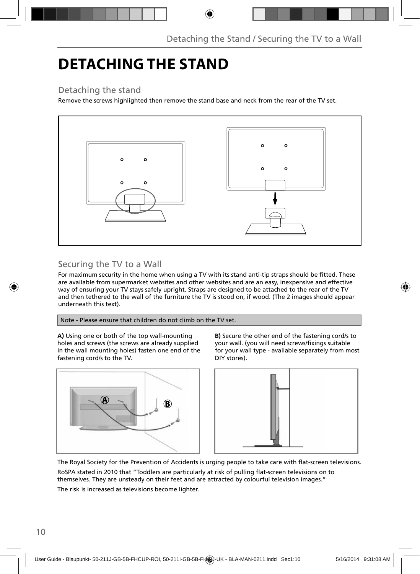## **DETACHING THE STAND**

### Detaching the stand

Remove the screws highlighted then remove the stand base and neck from the rear of the TV set.



### Securing the TV to a Wall

For maximum security in the home when using a TV with its stand anti-tip straps should be fitted. These are available from supermarket websites and other websites and are an easy, inexpensive and effective way of ensuring your TV stays safely upright. Straps are designed to be attached to the rear of the TV and then tethered to the wall of the furniture the TV is stood on, if wood. (The 2 images should appear underneath this text).

Note - Please ensure that children do not climb on the TV set.

**A)** Using one or both of the top wall-mounting holes and screws (the screws are already supplied in the wall mounting holes) fasten one end of the fastening cord/s to the TV.



**B)** Secure the other end of the fastening cord/s to your wall. (you will need screws/fixings suitable for your wall type - available separately from most DIY stores).



The Royal Society for the Prevention of Accidents is urging people to take care with flat-screen televisions.

RoSPA stated in 2010 that "Toddlers are particularly at risk of pulling flat-screen televisions on to themselves. They are unsteady on their feet and are attracted by colourful television images." The risk is increased as televisions become lighter.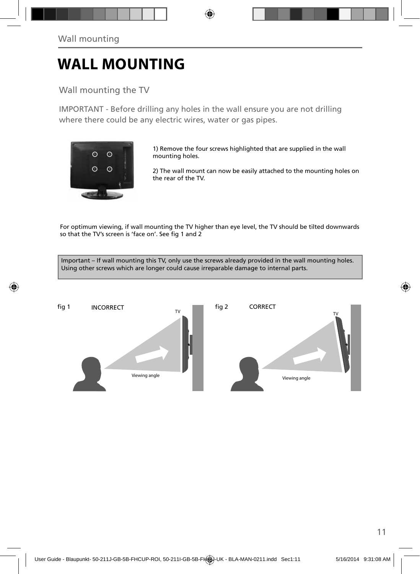## **WALL MOUNTING**

Wall mounting the TV

IMPORTANT - Before drilling any holes in the wall ensure you are not drilling where there could be any electric wires, water or gas pipes.



1) Remove the four screws highlighted that are supplied in the wall mounting holes.

2) The wall mount can now be easily attached to the mounting holes on the rear of the TV.

For optimum viewing, if wall mounting the TV higher than eye level, the TV should be tilted downwards so that the TV's screen is 'face on'. See fig 1 and 2

Important – If wall mounting this TV, only use the screws already provided in the wall mounting holes. Using other screws which are longer could cause irreparable damage to internal parts.

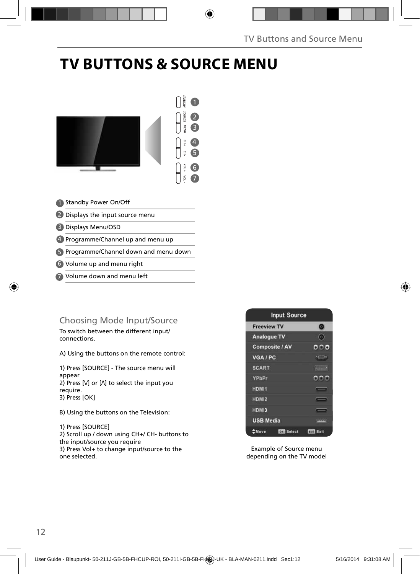# **TV BUTTONS & SOURCE MENU**



4) Programme/Channel up and menu up

Programme/Channel down and menu down 5

Volume up and menu right 6

Volume down and menu left 7

### Choosing Mode Input/Source

To switch between the different input/ connections.

A) Using the buttons on the remote control:

1) Press [SOURCE] - The source menu will appear 2) Press  $[M]$  or  $[M]$  to select the input you require. 3) Press [OK]

B) Using the buttons on the Television:

1) Press [SOURCE] 2) Scroll up / down using CH+/ CH- buttons to the input/source you require 3) Press Vol+ to change input/source to the one selected.



Example of Source menu depending on the TV model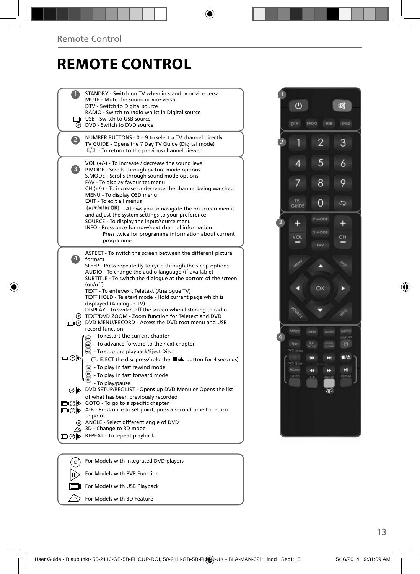## **REMOTE CONTROL**

|      | STANDBY - Switch on TV when in standby or vice versa                                                         |
|------|--------------------------------------------------------------------------------------------------------------|
|      | MUTE - Mute the sound or vice versa                                                                          |
|      | DTV - Switch to Digital source<br>RADIO - Switch to radio whilst in Digital source                           |
|      | USB - Switch to USB source                                                                                   |
| ⊛    | DVD - Switch to DVD source                                                                                   |
|      | NUMBER BUTTONS - 0 - 9 to select a TV channel directly.                                                      |
|      | TV GUIDE - Opens the 7 Day TV Guide (Digital mode)                                                           |
|      | $\bigcirc$ - To return to the previous channel viewed                                                        |
|      | VOL $(+/-)$ - To increase / decrease the sound level                                                         |
| 3)   | P.MODE - Scrolls through picture mode options                                                                |
|      | S.MODE - Scrolls through sound mode options                                                                  |
|      | FAV - To display favourites menu<br>$CH (+/-)$ - To increase or decrease the channel being watched           |
|      | MENU - To display OSD menu                                                                                   |
|      | EXIT - To exit all menus                                                                                     |
|      | (A/V/4/M/OK) - Allows you to navigate the on-screen menus                                                    |
|      | and adjust the system settings to your preference                                                            |
|      | SOURCE - To display the input/source menu<br>INFO - Press once for now/next channel information              |
|      | Press twice for programme information about current                                                          |
|      | programme                                                                                                    |
|      | ASPECT - To switch the screen between the different picture                                                  |
|      | formats                                                                                                      |
|      | SLEEP - Press repeatedly to cycle through the sleep options                                                  |
|      | AUDIO - To change the audio language (if available)                                                          |
|      | SUBTITLE - To switch the dialogue at the bottom of the screen                                                |
|      | (on/off)<br>TEXT - To enter/exit Teletext (Analogue TV)                                                      |
|      | TEXT HOLD - Teletext mode - Hold current page which is                                                       |
|      | displayed (Analogue TV)                                                                                      |
|      | DISPLAY - To switch off the screen when listening to radio                                                   |
| (ማ)  | TEXT/DVD ZOOM - Zoom function for Teletext and DVD<br>n @ DVD MENU/RECORD - Access the DVD root menu and USB |
|      | record function                                                                                              |
|      | - To restart the current chapter<br>俪                                                                        |
|      | - To advance forward to the next chapter<br>$\blacksquare$                                                   |
|      | ◯ - To stop the playback/Eject Disc                                                                          |
| య⊚⊡  | (To EJECT the disc press/hold the ■/▲ button for 4 seconds)                                                  |
|      | (4) - To play in fast rewind mode                                                                            |
|      | - To play in fast forward mode                                                                               |
|      | - To play/pause                                                                                              |
|      | ⊙ b> DVD SETUP/REC LIST - Opens up DVD Menu or Opens the list                                                |
|      | of what has been previously recorded                                                                         |
|      | □ ⊙ iD GOTO - To go to a specific chapter                                                                    |
|      | □⊙ D A-B - Press once to set point, press a second time to return<br>to point                                |
|      | @ ANGLE - Select different angle of DVD                                                                      |
|      | 3D - Change to 3D mode                                                                                       |
| ▭◶ڊ  | REPEAT - To repeat playback                                                                                  |
|      |                                                                                                              |
|      |                                                                                                              |
| (ര്) | For Models with Integrated DVD players                                                                       |

For Models with PVR Function For Models with USB Playback  $\triangledown$  For Models with 3D Feature

 $\mathbb{D}$ 

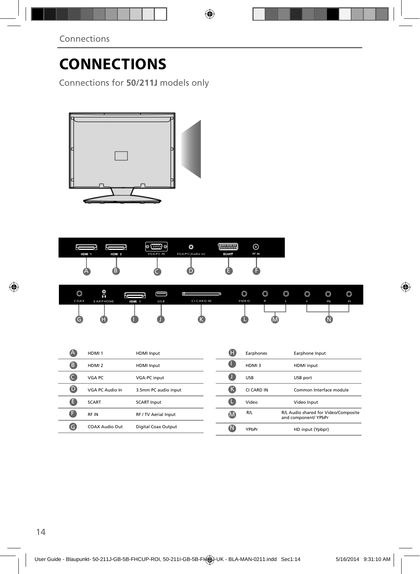Connections for **50/211J** models only



| HDM 1 | HDM <sub>2</sub> | $  \circ$ (::::) $\circ  $<br><b>VGA/PC IN</b> | O<br>VGA/PC(Audio in) | maanaa II<br><b>SCART</b> | ര<br><b>RF IN</b> |  |
|-------|------------------|------------------------------------------------|-----------------------|---------------------------|-------------------|--|
|       | в                |                                                |                       |                           |                   |  |

| $\circledcirc$ | ◎<br>ค          |       |            |            | $\circledcirc$ | $\circledcirc$ | $\circledcirc$ | $\circledcirc$ | $\circledcirc$ | $\circledcirc$ |
|----------------|-----------------|-------|------------|------------|----------------|----------------|----------------|----------------|----------------|----------------|
| COAX           | <b>EARPHONE</b> | HDM 3 | <b>USB</b> | CI CARD IN | <b>VIDEO</b>   | R              | L              | v.             | Pb             | P <sub>r</sub> |
|                |                 |       |            |            |                |                |                |                |                |                |
| G              |                 |       |            |            |                |                |                |                |                |                |

| 7A          | HDMI <sub>1</sub> | <b>HDMI</b> Input    | Œ   | Earphones  | Earphone Input                                               |
|-------------|-------------------|----------------------|-----|------------|--------------------------------------------------------------|
| ß           | HDMI <sub>2</sub> | <b>HDMI</b> Input    | u   | HDMI3      | HDMI input                                                   |
|             | VGA PC            | VGA-PC input         | u   | <b>USB</b> | USB port                                                     |
| $\mathbf 0$ | VGA PC Audio In   | 3.5mm PC audio input | (K  | CI CARD IN | Common Interface module                                      |
| A           | <b>SCART</b>      | <b>SCART Input</b>   | œ   | Video      | Video Input                                                  |
|             | <b>RFIN</b>       | RF / TV Aerial Input | (M) | R/L        | R/L Audio shared for Video/Composite<br>and component/ YPbPr |
| G           | COAX Audio Out    | Digital Coax Output  | W   | YPbPr      | HD input (Ypbpr)                                             |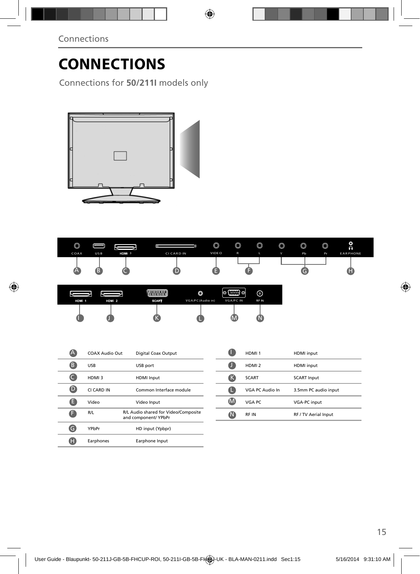Connections for **50/211I** models only



| $\circledcirc$ |     |       |            | $\circledcirc$ | $\circledcirc$ | $\circledcirc$ | $\circledcirc$ | $\circledcirc$ | $\circledcirc$ | O<br>$\Omega$   |
|----------------|-----|-------|------------|----------------|----------------|----------------|----------------|----------------|----------------|-----------------|
| COAX           | USB | HDM 3 | CI CARD IN | VIDE O         | $\mathsf R$    | ъ.             | $\ddot{}$      | Pb             | Pr             | <b>EARPHONE</b> |
|                |     |       |            |                |                |                |                |                |                |                 |
| $\triangle$    | Œ   |       | ш          |                |                |                |                |                |                |                 |
|                |     |       |            |                |                |                |                |                |                |                 |

|       |                  |              | ٥                | $\left( \frac{1}{2} \right)$ or<br>⊚ | ര     |  |
|-------|------------------|--------------|------------------|--------------------------------------|-------|--|
| HDM 1 | HDM <sub>2</sub> | <b>SCART</b> | VGA/PC(Audio in) | VGA/PC IN                            | RF IN |  |
|       |                  |              |                  |                                      |       |  |

|   | COAX Audio Out | Digital Coax Output                                          |
|---|----------------|--------------------------------------------------------------|
| В | USB            | USB port                                                     |
|   | HDMI3          | <b>HDMI</b> Input                                            |
|   | CI CARD IN     | Common Interface module                                      |
| Е | Video          | Video Input                                                  |
|   | R/L            | R/L Audio shared for Video/Composite<br>and component/ YPbPr |
|   | YPbPr          | HD input (Ypbpr)                                             |
|   | Earphones      | Earphone Input                                               |

|   | HDMI <sub>1</sub> | <b>HDMI</b> input    |
|---|-------------------|----------------------|
|   | HDMI <sub>2</sub> | <b>HDMI</b> input    |
| ĸ | <b>SCART</b>      | <b>SCART Input</b>   |
|   | VGA PC Audio In   | 3.5mm PC audio input |
| M | VGA PC            | <b>VGA-PC</b> input  |
|   | <b>RFIN</b>       | RF / TV Aerial Input |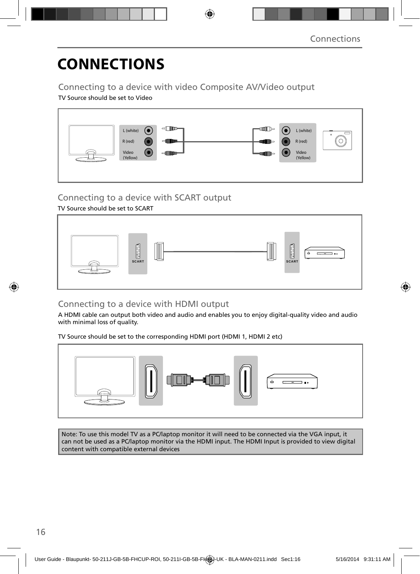### Connecting to a device with video Composite AV/Video output

TV Source should be set to Video



### Connecting to a device with SCART output

TV Source should be set to SCART



### Connecting to a device with HDMI output

A HDMI cable can output both video and audio and enables you to enjoy digital-quality video and audio with minimal loss of quality.

TV Source should be set to the corresponding HDMI port (HDMI 1, HDMI 2 etc)



Note: To use this model TV as a PC/laptop monitor it will need to be connected via the VGA input, it can not be used as a PC/laptop monitor via the HDMI input. The HDMI Input is provided to view digital content with compatible external devices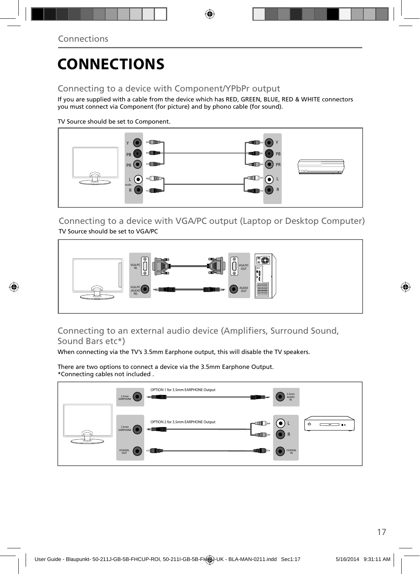### Connecting to a device with Component/YPbPr output

If you are supplied with a cable from the device which has RED, GREEN, BLUE, RED & WHITE connectors you must connect via Component (for picture) and by phono cable (for sound).

TV Source should be set to Component.



Connecting to a device with VGA/PC output (Laptop or Desktop Computer) TV Source should be set to VGA/PC



### Connecting to an external audio device (Amplifiers, Surround Sound, Sound Bars etc\*)

When connecting via the TV's 3.5mm Earphone output, this will disable the TV speakers.

There are two options to connect a device via the 3.5mm Earphone Output. \*Connecting cables not included .

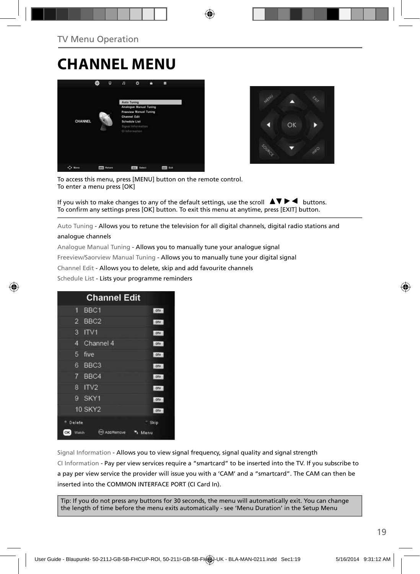## **CHANNEL MENU**





To access this menu, press [MENU] button on the remote control. To enter a menu press [OK]

If you wish to make changes to any of the default settings, use the scroll  $\blacktriangle \blacktriangledown \blacktriangleright \blacktriangleleft$  buttons. To confirm any settings press [OK] button. To exit this menu at anytime, press [EXIT] button.

Auto Tuning - Allows you to retune the television for all digital channels, digital radio stations and

#### analogue channels

Analogue Manual Tuning - Allows you to manually tune your analogue signal

Freeview/Saorview Manual Tuning - Allows you to manually tune your digital signal

Channel Edit - Allows you to delete, skip and add favourite channels

Schedule List - Lists your programme reminders

| <b>Channel Edit</b>       |            |
|---------------------------|------------|
| BBC <sub>1</sub><br>٦     | otv        |
| BBC <sub>2</sub><br>2     | orv        |
| 3<br>ITV1                 | orv        |
| Channel 4<br>4            | <b>DIV</b> |
| 5<br>five                 | otv        |
| 6<br>BBC <sub>3</sub>     | orv        |
| BBC4<br>7                 | <b>DTV</b> |
| ITV <sub>2</sub><br>8     | otv        |
| SKY1<br>g                 | one.       |
| <b>10 SKY2</b>            | <b>DTV</b> |
| Delete                    | Skip       |
| OK<br>Watch<br>Add Remove | Menu       |

Signal Information - Allows you to view signal frequency, signal quality and signal strength CI Information - Pay per view services require a "smartcard" to be inserted into the TV. If you subscribe to a pay per view service the provider will issue you with a 'CAM' and a "smartcard". The CAM can then be inserted into the COMMON INTERFACE PORT (CI Card In).

Tip: If you do not press any buttons for 30 seconds, the menu will automatically exit. You can change the length of time before the menu exits automatically - see 'Menu Duration' in the Setup Menu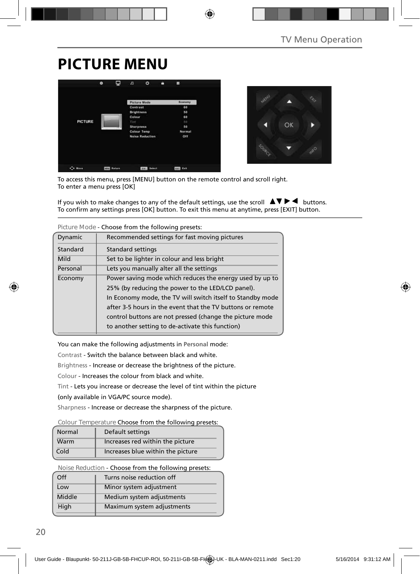## **PICTURE MENU**





To access this menu, press [MENU] button on the remote control and scroll right. To enter a menu press [OK]

If you wish to make changes to any of the default settings, use the scroll  $\Delta \nabla \blacktriangleright$   $\blacktriangleleft$  buttons. To confirm any settings press [OK] button. To exit this menu at anytime, press [EXIT] button.

|          | TIGUICIVIOUS - CHOOSE TIONI UIE TONOWING DIESELS.          |  |  |  |
|----------|------------------------------------------------------------|--|--|--|
| Dynamic  | Recommended settings for fast moving pictures              |  |  |  |
| Standard | Standard settings                                          |  |  |  |
| Mild     | Set to be lighter in colour and less bright                |  |  |  |
| Personal | Lets you manually alter all the settings                   |  |  |  |
| Economy  | Power saving mode which reduces the energy used by up to   |  |  |  |
|          | 25% (by reducing the power to the LED/LCD panel).          |  |  |  |
|          | In Economy mode, the TV will switch itself to Standby mode |  |  |  |
|          | after 3-5 hours in the event that the TV buttons or remote |  |  |  |
|          | control buttons are not pressed (change the picture mode   |  |  |  |
|          | to another setting to de-activate this function)           |  |  |  |

**Picture Mode** - Choose from the following presets:

You can make the following adjustments in **Personal** mode:

Contrast - Switch the balance between black and white.

Brightness - Increase or decrease the brightness of the picture.

Colour - Increases the colour from black and white.

Tint - Lets you increase or decrease the level of tint within the picture

(only available in VGA/PC source mode).

Sharpness - Increase or decrease the sharpness of the picture.

#### **Colour Temperature** Choose from the following presets:

| Normal | Default settings                  |
|--------|-----------------------------------|
| Warm   | Increases red within the picture  |
| Cold   | Increases blue within the picture |

**Noise Reduction** - Choose from the following presets:

| Off    | Turns noise reduction off  |  |  |
|--------|----------------------------|--|--|
| Low    | Minor system adjustment    |  |  |
| Middle | Medium system adjustments  |  |  |
| High   | Maximum system adjustments |  |  |
|        |                            |  |  |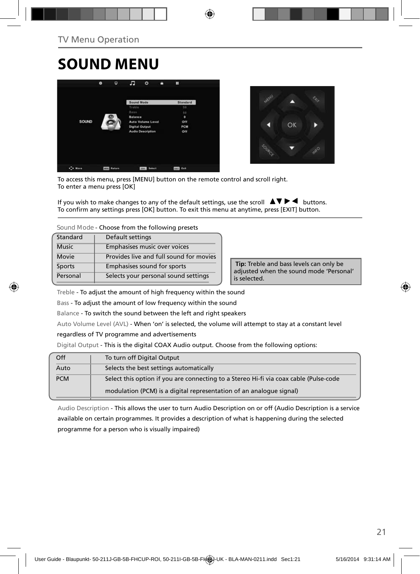## **SOUND MENU**





To access this menu, press [MENU] button on the remote control and scroll right. To enter a menu press [OK]

If you wish to make changes to any of the default settings, use the scroll  $\blacktriangle \blacktriangledown \blacktriangleright \blacktriangleleft$  buttons. To confirm any settings press [OK] button. To exit this menu at anytime, press [EXIT] button.

**Sound Mode** - Choose from the following presets

| Standard     | Default settings                        |  |
|--------------|-----------------------------------------|--|
| <b>Music</b> | Emphasises music over voices            |  |
| Movie        | Provides live and full sound for movies |  |
| Sports       | Emphasises sound for sports             |  |
| Personal     | Selects your personal sound settings    |  |

 **Tip:** Treble and bass levels can only be adjusted when the sound mode 'Personal' is selected.

Treble - To adjust the amount of high frequency within the sound

Bass - To adjust the amount of low frequency within the sound

Balance - To switch the sound between the left and right speakers

Auto Volume Level (AVL) - When 'on' is selected, the volume will attempt to stay at a constant level

regardless of TV programme and advertisements

Digital Output - This is the digital COAX Audio output. Choose from the following options:

| Off        | To turn off Digital Output                                                            |
|------------|---------------------------------------------------------------------------------------|
| Auto       | Selects the best settings automatically                                               |
| <b>PCM</b> | Select this option if you are connecting to a Stereo Hi-fi via coax cable (Pulse-code |
|            | modulation (PCM) is a digital representation of an analogue signal)                   |

Audio Description - This allows the user to turn Audio Description on or off (Audio Description is a service available on certain programmes. It provides a description of what is happening during the selected programme for a person who is visually impaired)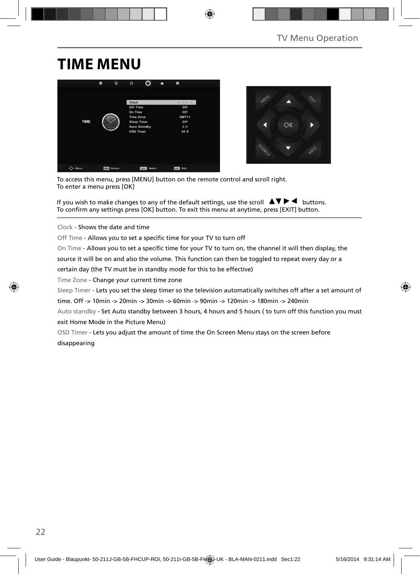## **TIME MENU**





To access this menu, press [MENU] button on the remote control and scroll right. To enter a menu press [OK]

If you wish to make changes to any of the default settings, use the scroll  $\Delta \nabla \blacktriangleright$   $\blacktriangleleft$  buttons. To confirm any settings press [OK] button. To exit this menu at anytime, press [EXIT] button.

Clock - Shows the date and time

Off Time - Allows you to set a specific time for your TV to turn off

On Time - Allows you to set a specific time for your TV to turn on, the channel it will then display, the

source it will be on and also the volume. This function can then be toggled to repeat every day or a

certain day (the TV must be in standby mode for this to be effective)

Time Zone - Change your current time zone

Sleep Timer - Lets you set the sleep timer so the television automatically switches off after a set amount of

time. Off -> 10min -> 20min -> 30min -> 60min -> 90min -> 120min -> 180min -> 240min

Auto standby - Set Auto standby between 3 hours, 4 hours and 5 hours ( to turn off this function you must exit Home Mode in the Picture Menu)

OSD Timer - Lets you adjust the amount of time the On Screen Menu stays on the screen before disappearing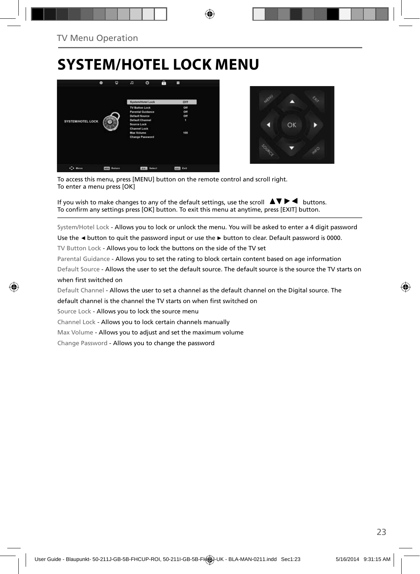## **SYSTEM/HOTEL LOCK MENU**





To access this menu, press [MENU] button on the remote control and scroll right. To enter a menu press [OK]

If you wish to make changes to any of the default settings, use the scroll  $\Box \blacktriangledown \blacktriangleright \blacktriangleleft$  buttons. To confirm any settings press [OK] button. To exit this menu at anytime, press [EXIT] button.

System/Hotel Lock - Allows you to lock or unlock the menu. You will be asked to enter a 4 digit password

Use the **◄** button to quit the password input or use the **►** button to clear. Default password is 0000.

TV Button Lock - Allows you to lock the buttons on the side of the TV set

Parental Guidance - Allows you to set the rating to block certain content based on age information

Default Source - Allows the user to set the default source. The default source is the source the TV starts on when first switched on

Default Channel - Allows the user to set a channel as the default channel on the Digital source. The

default channel is the channel the TV starts on when first switched on

Source Lock - Allows you to lock the source menu

Channel Lock - Allows you to lock certain channels manually

Max Volume - Allows you to adjust and set the maximum volume

Change Password - Allows you to change the password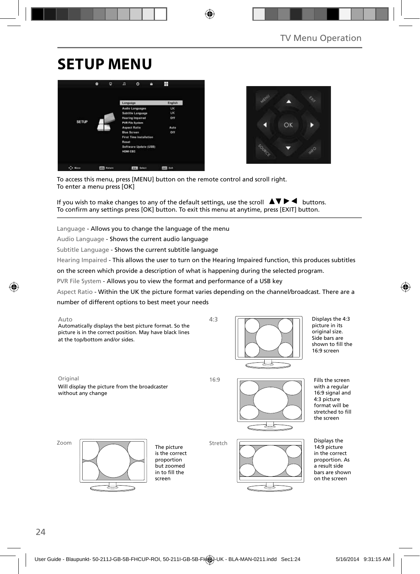## **SETUP MENU**





To access this menu, press [MENU] button on the remote control and scroll right. To enter a menu press [OK]

If you wish to make changes to any of the default settings, use the scroll  $\Delta \nabla \blacktriangleright$   $\blacktriangleleft$  buttons. To confirm any settings press [OK] button. To exit this menu at anytime, press [EXIT] button.

Language - Allows you to change the language of the menu

Audio Language - Shows the current audio language

Subtitle Language - Shows the current subtitle language

Hearing Impaired - This allows the user to turn on the Hearing Impaired function, this produces subtitles

on the screen which provide a description of what is happening during the selected program.

PVR File System - Allows you to view the format and performance of a USB key

Aspect Ratio - Within the UK the picture format varies depending on the channel/broadcast. There are a

number of different options to best meet your needs



Displays the 4:3 picture in its original size. Side bars are shown to fill the 16:9 screen

Original 16:9 Will display the picture from the broadcaster without any change



Fills the screen with a regular 16:9 signal and 4:3 picture format will be stretched to fill the screen

Zoom



The picture is the correct proportion but zoomed in to fill the screen

Stretch



Displays the 14:9 picture in the correct proportion. As a result side bars are shown on the screen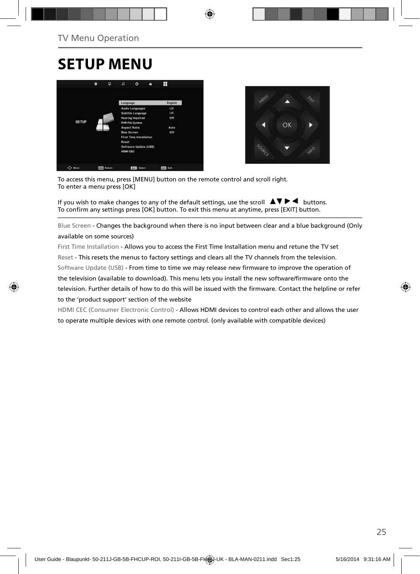### **SETUP MENU**





To access this menu, press [MENU] button on the remote control and scroll right. To enter a menu press [OK]

If you wish to make changes to any of the default settings, use the scroll  $\Box \blacktriangledown \blacktriangleright \blacktriangleleft$  buttons. To confirm any settings press [OK] button. To exit this menu at anytime, press [EXIT] button.

Blue Screen - Changes the background when there is no input between clear and a blue background (Only available on some sources)

First Time Installation - Allows you to access the First Time Installation menu and retune the TV set Reset - This resets the menus to factory settings and clears all the TV channels from the television. Software Update (USB) - From time to time we may release new firmware to improve the operation of the television (available to download). This menu lets you install the new software/firmware onto the television. Further details of how to do this will be issued with the firmware. Contact the helpline or refer to the 'product support' section of the website

HDMI CEC (Consumer Electronic Control) - Allows HDMI devices to control each other and allows the user to operate multiple devices with one remote control. (only available with compatible devices)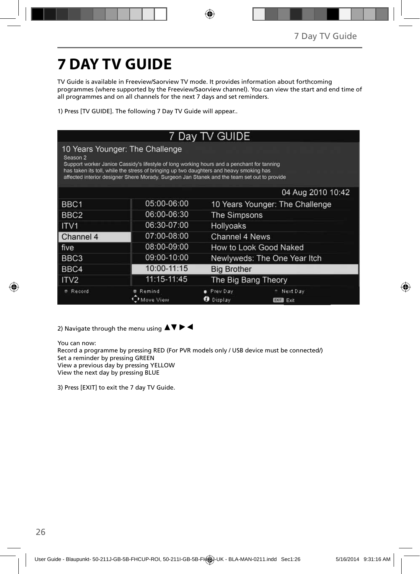# **7 DAY TV GUIDE**

TV Guide is available in Freeview/Saorview TV mode. It provides information about forthcoming programmes (where supported by the Freeview/Saorview channel). You can view the start and end time of all programmes and on all channels for the next 7 days and set reminders.

1) Press [TV GUIDE]. The following 7 Day TV Guide will appear..

| 7 Day TV GUIDE                                                                                                                                                                                                                                                                                                                                 |                     |                                                          |                              |  |  |
|------------------------------------------------------------------------------------------------------------------------------------------------------------------------------------------------------------------------------------------------------------------------------------------------------------------------------------------------|---------------------|----------------------------------------------------------|------------------------------|--|--|
| 10 Years Younger: The Challenge<br>Season <sub>2</sub><br>Support worker Janice Cassidy's lifestyle of long working hours and a penchant for tanning<br>has taken its toll, while the stress of bringing up two daughters and heavy smoking has<br>affected interior designer Shere Morady. Surgeon Jan Stanek and the team set out to provide |                     |                                                          |                              |  |  |
|                                                                                                                                                                                                                                                                                                                                                |                     |                                                          | 04 Aug 2010 10:42            |  |  |
| BBC <sub>1</sub>                                                                                                                                                                                                                                                                                                                               | 05:00-06:00         | 10 Years Younger: The Challenge                          |                              |  |  |
| BBC <sub>2</sub>                                                                                                                                                                                                                                                                                                                               | 06:00-06:30         | <b>The Simpsons</b>                                      |                              |  |  |
| ITV <sub>1</sub>                                                                                                                                                                                                                                                                                                                               | 06:30-07:00         | <b>Hollyoaks</b>                                         |                              |  |  |
| Channel 4                                                                                                                                                                                                                                                                                                                                      | 07:00-08:00         | Channel 4 News                                           |                              |  |  |
| five                                                                                                                                                                                                                                                                                                                                           | 08:00-09:00         | How to Look Good Naked                                   |                              |  |  |
| BBC <sub>3</sub>                                                                                                                                                                                                                                                                                                                               | 09:00-10:00         |                                                          | Newlyweds: The One Year Itch |  |  |
| BBC4                                                                                                                                                                                                                                                                                                                                           | 10:00-11:15         | <b>Big Brother</b>                                       |                              |  |  |
| ITV <sub>2</sub>                                                                                                                                                                                                                                                                                                                               | 11:15-11:45         |                                                          | The Big Bang Theory          |  |  |
| Record                                                                                                                                                                                                                                                                                                                                         | Remind<br>Move View | Prev Day<br>Next Day<br>Display<br>ø<br><b>EXIT</b> Exit |                              |  |  |

2) Navigate through the menu using  $\blacktriangle \blacktriangledown \blacktriangleright \blacktriangleleft$ 

You can now:

Record a programme by pressing RED (For PVR models only / USB device must be connected/) Set a reminder by pressing GREEN View a previous day by pressing YELLOW

View the next day by pressing BLUE

3) Press [EXIT] to exit the 7 day TV Guide.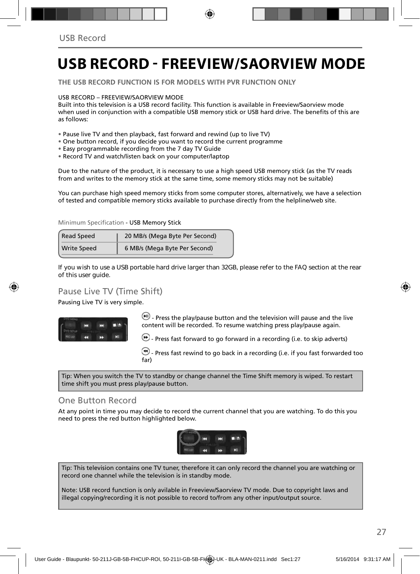## **USB RECORD - FREEVIEW/SAORVIEW MODE**

**THE USB RECORD FUNCTION IS FOR MODELS WITH PVR FUNCTION ONLY**

#### USB RECORD – FREEVIEW/SAORVIEW MODE

Built into this television is a USB record facility. This function is available in Freeview/Saorview mode when used in conjunction with a compatible USB memory stick or USB hard drive. The benefits of this are as follows:

- Pause live TV and then playback, fast forward and rewind (up to live TV)
- One button record, if you decide you want to record the current programme
- Easy programmable recording from the 7 day TV Guide
- Record TV and watch/listen back on your computer/laptop

Due to the nature of the product, it is necessary to use a high speed USB memory stick (as the TV reads from and writes to the memory stick at the same time, some memory sticks may not be suitable)

You can purchase high speed memory sticks from some computer stores, alternatively, we have a selection of tested and compatible memory sticks available to purchase directly from the helpline/web site.

#### Minimum Specification - USB Memory Stick

| <b>Read Speed</b>  | 20 MB/s (Mega Byte Per Second) |  |  |
|--------------------|--------------------------------|--|--|
| <b>Write Speed</b> | 6 MB/s (Mega Byte Per Second)  |  |  |

**If you wish to use a USB portable hard drive larger than 32GB, please refer to the FAQ section at the rear of this user guide.**

### Pause Live TV (Time Shift)

Pausing Live TV is very simple.



 $\left(\mathbf{H}\right)$  - Press the play/pause button and the television will pause and the live content will be recorded. To resume watching press play/pause again.

 $\bigoplus$  - Press fast forward to go forward in a recording (i.e. to skip adverts)

 $\bigcirc$  - Press fast rewind to go back in a recording (i.e. if you fast forwarded too far)

Tip: When you switch the TV to standby or change channel the Time Shift memory is wiped. To restart time shift you must press play/pause button.

### One Button Record

At any point in time you may decide to record the current channel that you are watching. To do this you need to press the red button highlighted below.



Tip: This television contains one TV tuner, therefore it can only record the channel you are watching or record one channel while the television is in standby mode.

Note: USB record function is only avilable in Freeview/Saorview TV mode. Due to copyright laws and illegal copying/recording it is not possible to record to/from any other input/output source.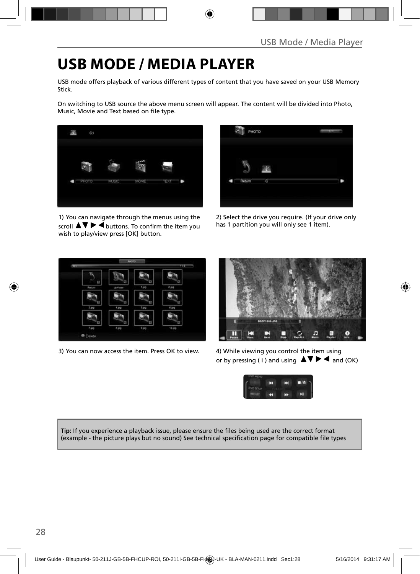## **USB MODE / MEDIA PLAYER**

USB mode offers playback of various different types of content that you have saved on your USB Memory Stick.

On switching to USB source the above menu screen will appear. The content will be divided into Photo, Music, Movie and Text based on file type.



1) You can navigate through the menus using the scroll  $\blacktriangle \blacktriangledown \blacktriangleright \blacktriangleleft$  buttons. To confirm the item you wish to play/view press [OK] button.

| PHOTO  |   | m |
|--------|---|---|
| Return | C |   |

2) Select the drive you require. (If your drive only has 1 partition you will only see 1 item).



3) You can now access the item. Press OK to view. 4) While viewing you control the item using



or by pressing (i) and using  $\Delta \nabla \blacktriangleright$   $\blacktriangle$  and (OK)



**Tip:** If you experience a playback issue, please ensure the files being used are the correct format (example - the picture plays but no sound) See technical specification page for compatible file types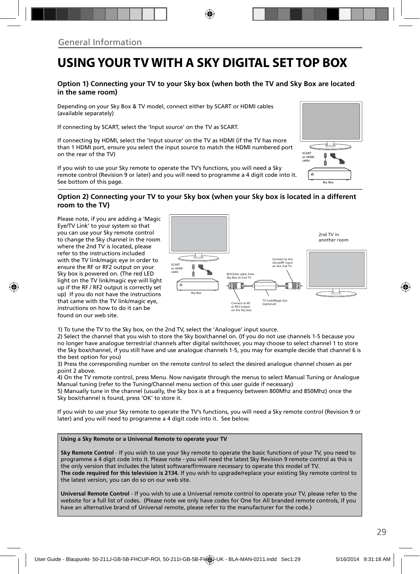### **USING YOUR TV WITH A SKY DIGITAL SET TOP BOX**

#### **Option 1) Connecting your TV to your Sky box (when both the TV and Sky Box are located in the same room)**

Depending on your Sky Box & TV model, connect either by SCART or HDMI cables (available separately)

If connecting by SCART, select the 'Input source' on the TV as SCART.

If connecting by HDMI, select the 'Input source' on the TV as HDMI (if the TV has more than 1 HDMI port, ensure you select the input source to match the HDMI numbered port on the rear of the TV)

If you wish to use your Sky remote to operate the TV's functions, you will need a Sky remote control (Revision 9 or later) and you will need to programme a 4 digit code into it. See bottom of this page.



#### **Option 2) Connecting your TV to your Sky box (when your Sky box is located in a different room to the TV)**

Please note, if you are adding a 'Magic Eye/TV Link' to your system so that you can use your Sky remote control to change the Sky channel in the room where the 2nd TV is located, please refer to the instructions included with the TV link/magic eye in order to ensure the RF or RF2 output on your Sky box is powered on. (The red LED light on the TV link/magic eye will light up if the RF / RF2 output is correctly set up) If you do not have the instructions that came with the TV link/magic eye, instructions on how to do it can be found on our web site.



1) To tune the TV to the Sky box, on the 2nd TV, select the 'Analogue' input source.

2) Select the channel that you wish to store the Sky box/channel on. (If you do not use channels 1-5 because you no longer have analogue terrestrial channels after digital switchover, you may choose to select channel 1 to store the Sky box/channel, if you still have and use analogue channels 1-5, you may for example decide that channel 6 is the best option for you)

3) Press the corresponding number on the remote control to select the desired analogue channel chosen as per point 2 above.

4) On the TV remote control, press Menu. Now navigate through the menus to select Manual Tuning or Analogue Manual tuning (refer to the Tuning/Channel menu section of this user guide if necessary)

5) Manually tune in the channel (usually, the Sky box is at a frequency between 800Mhz and 850Mhz) once the Sky box/channel is found, press 'OK' to store it.

If you wish to use your Sky remote to operate the TV's functions, you will need a Sky remote control (Revision 9 or later) and you will need to programme a 4 digit code into it. See below.

#### **Using a Sky Remote or a Universal Remote to operate your TV**

**Sky Remote Control** - If you wish to use your Sky remote to operate the basic functions of your TV, you need to programme a 4 digit code into it. Please note - you will need the latest Sky Revision 9 remote control as this is the only version that includes the latest software/firmware necessary to operate this model of TV. **The code required for this television is 2134.** If you wish to upgrade/replace your existing Sky remote control to the latest version, you can do so on our web site.

**Universal Remote Control** - If you wish to use a Universal remote control to operate your TV, please refer to the website for a full list of codes. (Please note we only have codes for One for All branded remote controls, if you have an alternative brand of Universal remote, please refer to the manufacturer for the code.)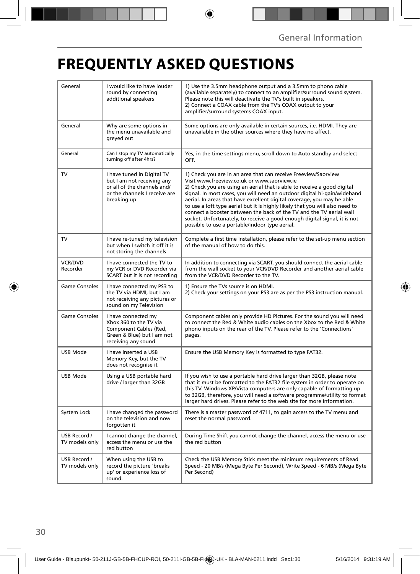## **FREQUENTLY ASKED QUESTIONS**

| General                        | I would like to have louder<br>sound by connecting<br>additional speakers                                                               | 1) Use the 3.5mm headphone output and a 3.5mm to phono cable<br>(available separately) to connect to an amplifier/surround sound system.<br>Please note this will deactivate the TV's built in speakers.<br>2) Connect a COAX cable from the TV's COAX output to your<br>amplifier/surround systems COAX input.                                                                                                                                                                                                                                                                                                                      |  |
|--------------------------------|-----------------------------------------------------------------------------------------------------------------------------------------|--------------------------------------------------------------------------------------------------------------------------------------------------------------------------------------------------------------------------------------------------------------------------------------------------------------------------------------------------------------------------------------------------------------------------------------------------------------------------------------------------------------------------------------------------------------------------------------------------------------------------------------|--|
| General                        | Why are some options in<br>the menu unavailable and<br>greyed out                                                                       | Some options are only available in certain sources, i.e. HDMI. They are<br>unavailable in the other sources where they have no affect.                                                                                                                                                                                                                                                                                                                                                                                                                                                                                               |  |
| General                        | Can I stop my TV automatically<br>turning off after 4hrs?                                                                               | Yes, in the time settings menu, scroll down to Auto standby and select<br>OFF.                                                                                                                                                                                                                                                                                                                                                                                                                                                                                                                                                       |  |
| <b>TV</b>                      | I have tuned in Digital TV<br>but I am not receiving any<br>or all of the channels and/<br>or the channels I receive are<br>breaking up | 1) Check you are in an area that can receive Freeview/Saorview<br>Visit www.freeview.co.uk or www.saorview.ie<br>2) Check you are using an aerial that is able to receive a good digital<br>signal. In most cases, you will need an outdoor digital hi-gain/wideband<br>aerial. In areas that have excellent digital coverage, you may be able<br>to use a loft type aerial but it is highly likely that you will also need to<br>connect a booster between the back of the TV and the TV aerial wall<br>socket. Unfortunately, to receive a good enough digital signal, it is not<br>possible to use a portable/indoor type aerial. |  |
| <b>TV</b>                      | I have re-tuned my television<br>but when I switch it off it is<br>not storing the channels                                             | Complete a first time installation, please refer to the set-up menu section<br>of the manual of how to do this.                                                                                                                                                                                                                                                                                                                                                                                                                                                                                                                      |  |
| <b>VCR/DVD</b><br>Recorder     | I have connected the TV to<br>my VCR or DVD Recorder via<br>SCART but it is not recording                                               | In addition to connecting via SCART, you should connect the aerial cable<br>from the wall socket to your VCR/DVD Recorder and another aerial cable<br>from the VCR/DVD Recorder to the TV.                                                                                                                                                                                                                                                                                                                                                                                                                                           |  |
| <b>Game Consoles</b>           | I have connected my PS3 to<br>the TV via HDMI, but I am<br>not receiving any pictures or<br>sound on my Television                      | 1) Ensure the TVs source is on HDMI.<br>2) Check your settings on your PS3 are as per the PS3 instruction manual.                                                                                                                                                                                                                                                                                                                                                                                                                                                                                                                    |  |
| <b>Game Consoles</b>           | I have connected my<br>Xbox 360 to the TV via<br>Component Cables (Red,<br>Green & Blue) but I am not<br>receiving any sound            | Component cables only provide HD Pictures. For the sound you will need<br>to connect the Red & White audio cables on the Xbox to the Red & White<br>phono inputs on the rear of the TV. Please refer to the 'Connections'<br>pages.                                                                                                                                                                                                                                                                                                                                                                                                  |  |
| USB Mode                       | I have inserted a USB<br>Memory Key, but the TV<br>does not recognise it                                                                | Ensure the USB Memory Key is formatted to type FAT32.                                                                                                                                                                                                                                                                                                                                                                                                                                                                                                                                                                                |  |
| <b>USB Mode</b>                | Using a USB portable hard<br>drive / larger than 32GB                                                                                   | If you wish to use a portable hard drive larger than 32GB, please note<br>that it must be formatted to the FAT32 file system in order to operate on<br>this TV. Windows XP/Vista computers are only capable of formatting up<br>to 32GB, therefore, you will need a software programme/utility to format<br>larger hard drives. Please refer to the web site for more information.                                                                                                                                                                                                                                                   |  |
| System Lock                    | I have changed the password<br>on the television and now<br>forgotten it                                                                | There is a master password of 4711, to gain access to the TV menu and<br>reset the normal password.                                                                                                                                                                                                                                                                                                                                                                                                                                                                                                                                  |  |
| USB Record /<br>TV models only | I cannot change the channel,<br>access the menu or use the<br>red button                                                                | During Time Shift you cannot change the channel, access the menu or use<br>the red button                                                                                                                                                                                                                                                                                                                                                                                                                                                                                                                                            |  |
| USB Record /<br>TV models only | When using the USB to<br>record the picture 'breaks<br>up' or experience loss of<br>sound.                                              | Check the USB Memory Stick meet the minimum requirements of Read<br>Speed - 20 MB/s (Mega Byte Per Second), Write Speed - 6 MB/s (Mega Byte<br>Per Second)                                                                                                                                                                                                                                                                                                                                                                                                                                                                           |  |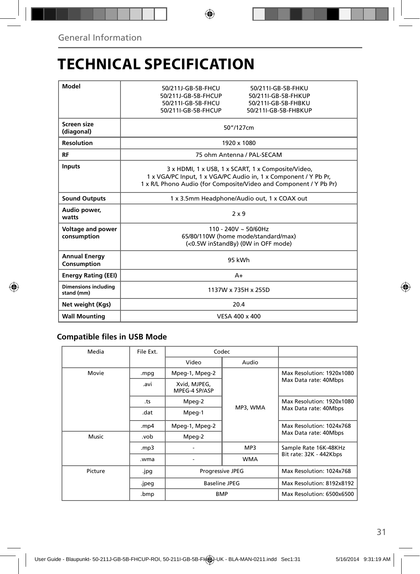## **TECHNICAL SPECIFICATION**

| Model                                     | 50/211I-GR-5R-FHKU<br>50/211I-GR-5R-FHCU                                                                                                                                                   |  |  |
|-------------------------------------------|--------------------------------------------------------------------------------------------------------------------------------------------------------------------------------------------|--|--|
|                                           | 50/211J-GB-5B-FHCUP<br>50/211I-GB-5B-FHKUP                                                                                                                                                 |  |  |
|                                           | 50/211I-GB-5B-FHCU<br>50/211I-GB-5B-FHBKU                                                                                                                                                  |  |  |
|                                           | 50/211I-GB-5B-FHCUP<br>50/211I-GB-5B-FHBKUP                                                                                                                                                |  |  |
| Screen size<br>(diagonal)                 | 50"/127cm                                                                                                                                                                                  |  |  |
| <b>Resolution</b>                         | 1920 x 1080                                                                                                                                                                                |  |  |
| RF                                        | 75 ohm Antenna / PAL-SECAM                                                                                                                                                                 |  |  |
| <b>Inputs</b>                             | 3 x HDMI, 1 x USB, 1 x SCART, 1 x Composite/Video,<br>1 x VGA/PC Input, 1 x VGA/PC Audio in, 1 x Component / Y Pb Pr,<br>1 x R/L Phono Audio (for Composite/Video and Component / Y Pb Pr) |  |  |
| <b>Sound Outputs</b>                      | 1 x 3.5mm Headphone/Audio out, 1 x COAX out                                                                                                                                                |  |  |
| Audio power,<br>watts                     | $2 \times 9$                                                                                                                                                                               |  |  |
| Voltage and power                         | $110 - 240V \sim 50/60Hz$                                                                                                                                                                  |  |  |
| consumption                               | 65/80/110W (home mode/standard/max)                                                                                                                                                        |  |  |
|                                           | (<0.5W inStandBy) (0W in OFF mode)                                                                                                                                                         |  |  |
| <b>Annual Energy</b><br>Consumption       | 95 kWh                                                                                                                                                                                     |  |  |
| <b>Energy Rating (EEI)</b>                | $A+$                                                                                                                                                                                       |  |  |
| <b>Dimensions including</b><br>stand (mm) | 1137W x 735H x 255D                                                                                                                                                                        |  |  |
| Net weight (Kgs)                          | 20.4                                                                                                                                                                                       |  |  |
| <b>Wall Mounting</b>                      | VESA 400 x 400                                                                                                                                                                             |  |  |

### **Compatible files in USB Mode**

|         |       | Codec                                           |            |                                                    |
|---------|-------|-------------------------------------------------|------------|----------------------------------------------------|
|         |       | Video                                           | Audio      |                                                    |
| Movie   | .mpg  | Mpeg-1, Mpeg-2                                  |            | Max Resolution: 1920x1080<br>Max Data rate: 40Mbps |
|         | .avi  | Xvid, MJPEG,<br>MPEG-4 SP/ASP                   |            |                                                    |
|         | .ts   | Mpeg-2                                          |            | Max Resolution: 1920x1080                          |
|         | .dat  | Mpeg-1                                          | MP3, WMA   | Max Data rate: 40Mbps                              |
|         | mp4.  | Mpeg-1, Mpeg-2                                  |            | Max Resolution: 1024x768                           |
| Music   | .vob  | Mpeg-2                                          |            | Max Data rate: 40Mbps                              |
|         | mp3.  |                                                 | MP3        | Sample Rate 16K-48KHz                              |
|         | .wma  |                                                 | <b>WMA</b> | Bit rate: 32K - 442Kbps                            |
| Picture | .jpg  | Progressive JPEG<br>Baseline JPEG<br><b>BMP</b> |            | Max Resolution: 1024x768                           |
|         | .jpeg |                                                 |            | Max Resolution: 8192x8192                          |
|         | .bmp  |                                                 |            | Max Resolution: 6500x6500                          |